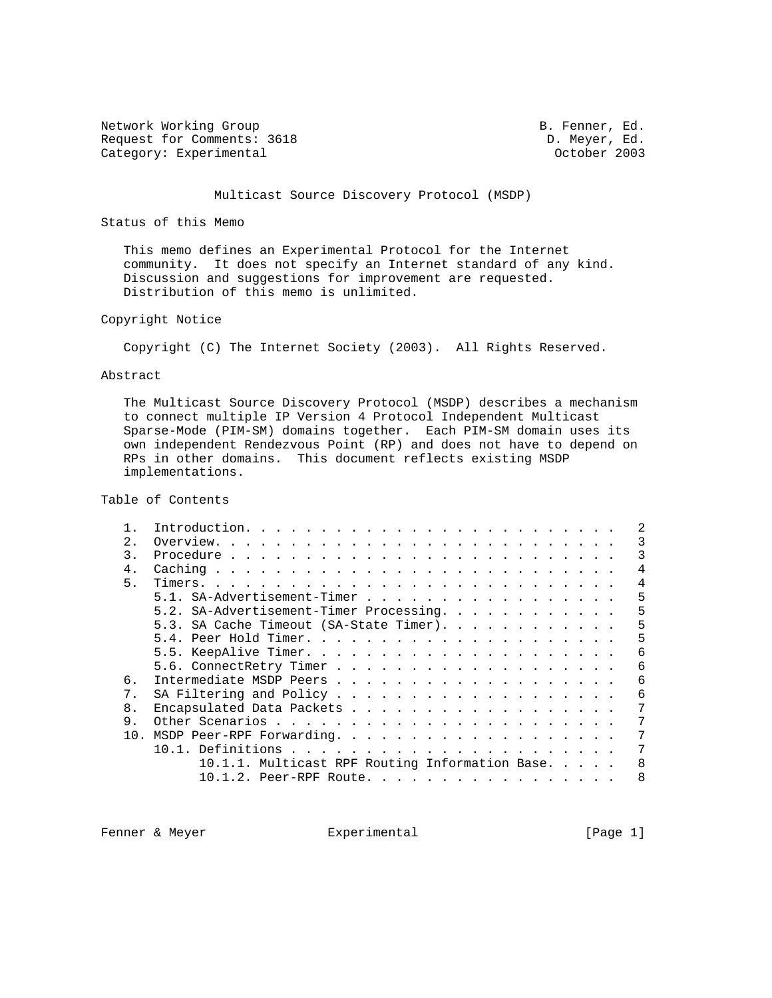Network Working Group and the set of the set of the B. Fenner, Ed. Request for Comments: 3618 D. Meyer, Ed. 2003<br>Category: Experimental D. October 2003 Category: Experimental

# Multicast Source Discovery Protocol (MSDP)

Status of this Memo

 This memo defines an Experimental Protocol for the Internet community. It does not specify an Internet standard of any kind. Discussion and suggestions for improvement are requested. Distribution of this memo is unlimited.

# Copyright Notice

Copyright (C) The Internet Society (2003). All Rights Reserved.

## Abstract

 The Multicast Source Discovery Protocol (MSDP) describes a mechanism to connect multiple IP Version 4 Protocol Independent Multicast Sparse-Mode (PIM-SM) domains together. Each PIM-SM domain uses its own independent Rendezvous Point (RP) and does not have to depend on RPs in other domains. This document reflects existing MSDP implementations.

Table of Contents

| 2              |                                                 |   |
|----------------|-------------------------------------------------|---|
| 3.             |                                                 | 3 |
| $4 \,$         |                                                 | 4 |
| 5.             |                                                 | 4 |
|                | 5.1. SA-Advertisement-Timer                     | 5 |
|                | 5.2. SA-Advertisement-Timer Processing.         | 5 |
|                | 5.3. SA Cache Timeout (SA-State Timer).         | 5 |
|                |                                                 | 5 |
|                |                                                 | 6 |
|                |                                                 | 6 |
| б.             |                                                 | 6 |
| 7.             |                                                 | 6 |
| 8 <sub>1</sub> | Encapsulated Data Packets                       |   |
| 9.             |                                                 | 7 |
|                |                                                 |   |
|                |                                                 |   |
|                | 10.1.1. Multicast RPF Routing Information Base. | 8 |
|                | $10.1.2$ . Peer-RPF Route.                      | 8 |
|                |                                                 |   |

Fenner & Meyer **Experimental** Experimental [Page 1]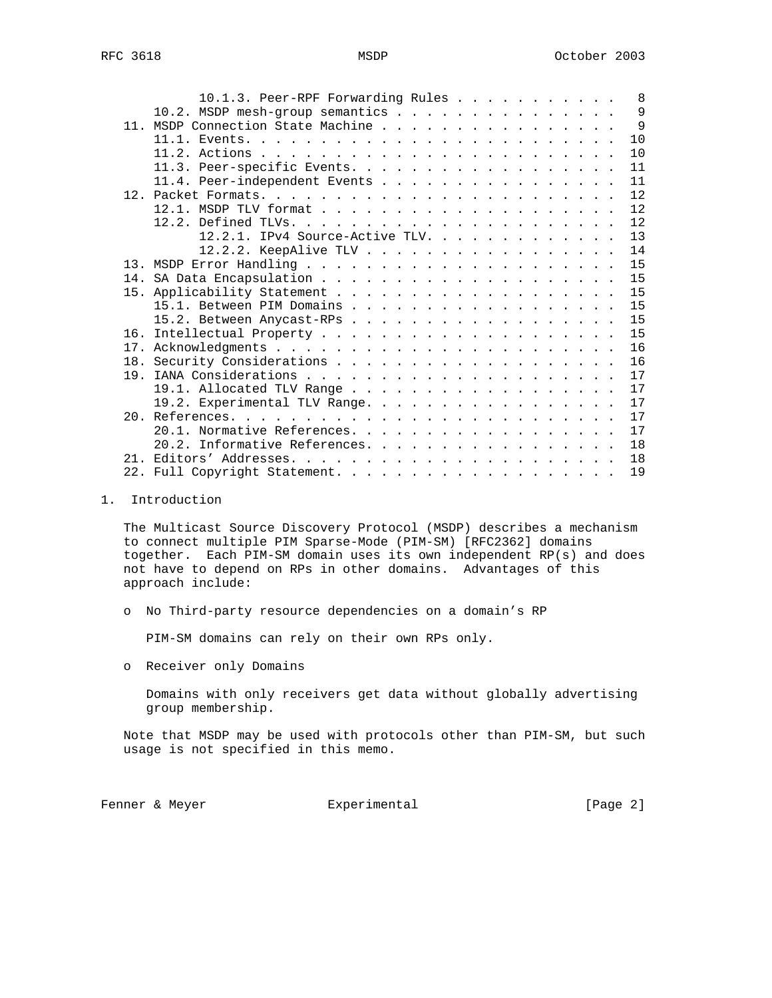|  |  |  |  |  |  | 8                                                                                                                                                                                                                                                                                                                                                                                                                             |
|--|--|--|--|--|--|-------------------------------------------------------------------------------------------------------------------------------------------------------------------------------------------------------------------------------------------------------------------------------------------------------------------------------------------------------------------------------------------------------------------------------|
|  |  |  |  |  |  |                                                                                                                                                                                                                                                                                                                                                                                                                               |
|  |  |  |  |  |  | $\mathsf{Q}$                                                                                                                                                                                                                                                                                                                                                                                                                  |
|  |  |  |  |  |  | $\mathsf{Q}$                                                                                                                                                                                                                                                                                                                                                                                                                  |
|  |  |  |  |  |  | 10                                                                                                                                                                                                                                                                                                                                                                                                                            |
|  |  |  |  |  |  | 10                                                                                                                                                                                                                                                                                                                                                                                                                            |
|  |  |  |  |  |  | 11                                                                                                                                                                                                                                                                                                                                                                                                                            |
|  |  |  |  |  |  | 11                                                                                                                                                                                                                                                                                                                                                                                                                            |
|  |  |  |  |  |  | 12                                                                                                                                                                                                                                                                                                                                                                                                                            |
|  |  |  |  |  |  | 12                                                                                                                                                                                                                                                                                                                                                                                                                            |
|  |  |  |  |  |  | 12                                                                                                                                                                                                                                                                                                                                                                                                                            |
|  |  |  |  |  |  | 13                                                                                                                                                                                                                                                                                                                                                                                                                            |
|  |  |  |  |  |  |                                                                                                                                                                                                                                                                                                                                                                                                                               |
|  |  |  |  |  |  | 14                                                                                                                                                                                                                                                                                                                                                                                                                            |
|  |  |  |  |  |  | 15                                                                                                                                                                                                                                                                                                                                                                                                                            |
|  |  |  |  |  |  | 15                                                                                                                                                                                                                                                                                                                                                                                                                            |
|  |  |  |  |  |  | 15                                                                                                                                                                                                                                                                                                                                                                                                                            |
|  |  |  |  |  |  | 15                                                                                                                                                                                                                                                                                                                                                                                                                            |
|  |  |  |  |  |  | 15                                                                                                                                                                                                                                                                                                                                                                                                                            |
|  |  |  |  |  |  | 15                                                                                                                                                                                                                                                                                                                                                                                                                            |
|  |  |  |  |  |  | 16                                                                                                                                                                                                                                                                                                                                                                                                                            |
|  |  |  |  |  |  | 16                                                                                                                                                                                                                                                                                                                                                                                                                            |
|  |  |  |  |  |  | 17                                                                                                                                                                                                                                                                                                                                                                                                                            |
|  |  |  |  |  |  | 17                                                                                                                                                                                                                                                                                                                                                                                                                            |
|  |  |  |  |  |  |                                                                                                                                                                                                                                                                                                                                                                                                                               |
|  |  |  |  |  |  | 17                                                                                                                                                                                                                                                                                                                                                                                                                            |
|  |  |  |  |  |  | 17                                                                                                                                                                                                                                                                                                                                                                                                                            |
|  |  |  |  |  |  | 17                                                                                                                                                                                                                                                                                                                                                                                                                            |
|  |  |  |  |  |  | 18                                                                                                                                                                                                                                                                                                                                                                                                                            |
|  |  |  |  |  |  | 18                                                                                                                                                                                                                                                                                                                                                                                                                            |
|  |  |  |  |  |  | 19                                                                                                                                                                                                                                                                                                                                                                                                                            |
|  |  |  |  |  |  | 10.1.3. Peer-RPF Forwarding Rules<br>10.2. MSDP mesh-group semantics<br>11. MSDP Connection State Machine<br>11.3. Peer-specific Events.<br>11.4. Peer-independent Events<br>12.2.1. IPv4 Source-Active TLV.<br>12.2.2. KeepAlive TLV<br>15.1. Between PIM Domains<br>15.2. Between Anycast-RPs<br>19.1. Allocated TLV Range<br>19.2. Experimental TLV Range.<br>20.1. Normative References.<br>20.2. Informative References. |

# 1. Introduction

 The Multicast Source Discovery Protocol (MSDP) describes a mechanism to connect multiple PIM Sparse-Mode (PIM-SM) [RFC2362] domains together. Each PIM-SM domain uses its own independent RP(s) and does not have to depend on RPs in other domains. Advantages of this approach include:

o No Third-party resource dependencies on a domain's RP

PIM-SM domains can rely on their own RPs only.

o Receiver only Domains

 Domains with only receivers get data without globally advertising group membership.

 Note that MSDP may be used with protocols other than PIM-SM, but such usage is not specified in this memo.

Fenner & Meyer **Experimental** Experimental [Page 2]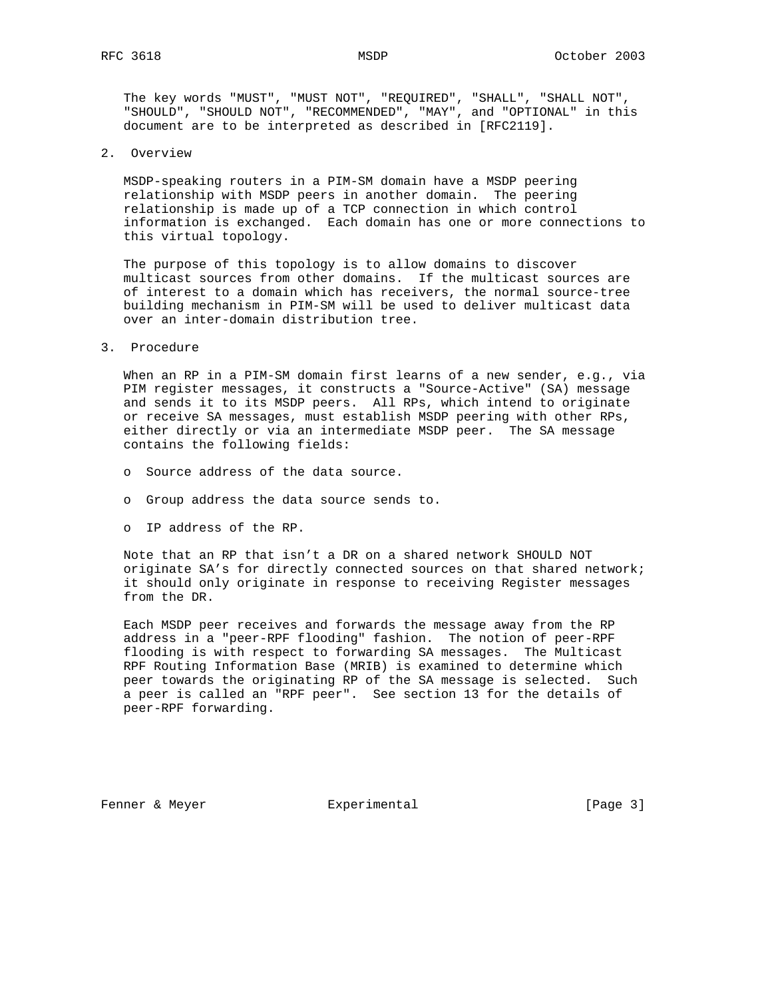The key words "MUST", "MUST NOT", "REQUIRED", "SHALL", "SHALL NOT", "SHOULD", "SHOULD NOT", "RECOMMENDED", "MAY", and "OPTIONAL" in this document are to be interpreted as described in [RFC2119].

2. Overview

 MSDP-speaking routers in a PIM-SM domain have a MSDP peering relationship with MSDP peers in another domain. The peering relationship is made up of a TCP connection in which control information is exchanged. Each domain has one or more connections to this virtual topology.

 The purpose of this topology is to allow domains to discover multicast sources from other domains. If the multicast sources are of interest to a domain which has receivers, the normal source-tree building mechanism in PIM-SM will be used to deliver multicast data over an inter-domain distribution tree.

3. Procedure

 When an RP in a PIM-SM domain first learns of a new sender, e.g., via PIM register messages, it constructs a "Source-Active" (SA) message and sends it to its MSDP peers. All RPs, which intend to originate or receive SA messages, must establish MSDP peering with other RPs, either directly or via an intermediate MSDP peer. The SA message contains the following fields:

- o Source address of the data source.
- o Group address the data source sends to.
- o IP address of the RP.

 Note that an RP that isn't a DR on a shared network SHOULD NOT originate SA's for directly connected sources on that shared network; it should only originate in response to receiving Register messages from the DR.

 Each MSDP peer receives and forwards the message away from the RP address in a "peer-RPF flooding" fashion. The notion of peer-RPF flooding is with respect to forwarding SA messages. The Multicast RPF Routing Information Base (MRIB) is examined to determine which peer towards the originating RP of the SA message is selected. Such a peer is called an "RPF peer". See section 13 for the details of peer-RPF forwarding.

Fenner & Meyer **Experimental** Experimental [Page 3]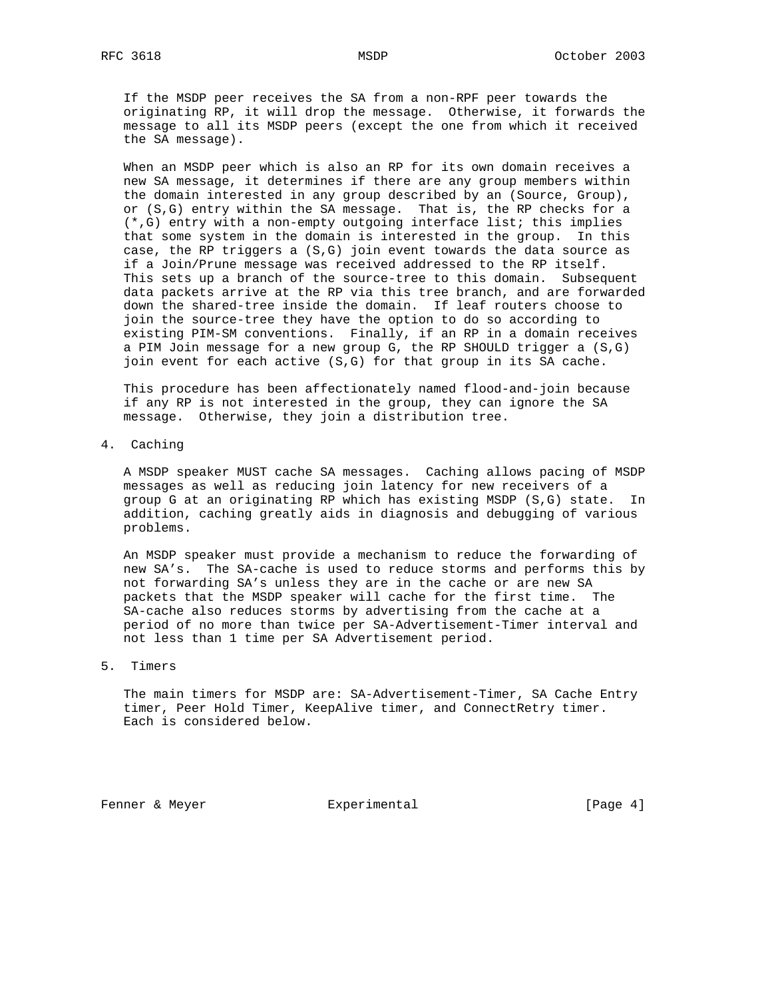If the MSDP peer receives the SA from a non-RPF peer towards the originating RP, it will drop the message. Otherwise, it forwards the message to all its MSDP peers (except the one from which it received the SA message).

 When an MSDP peer which is also an RP for its own domain receives a new SA message, it determines if there are any group members within the domain interested in any group described by an (Source, Group), or (S,G) entry within the SA message. That is, the RP checks for a (\*,G) entry with a non-empty outgoing interface list; this implies that some system in the domain is interested in the group. In this case, the RP triggers a (S,G) join event towards the data source as if a Join/Prune message was received addressed to the RP itself. This sets up a branch of the source-tree to this domain. Subsequent data packets arrive at the RP via this tree branch, and are forwarded down the shared-tree inside the domain. If leaf routers choose to join the source-tree they have the option to do so according to existing PIM-SM conventions. Finally, if an RP in a domain receives a PIM Join message for a new group G, the RP SHOULD trigger a (S,G) join event for each active (S,G) for that group in its SA cache.

 This procedure has been affectionately named flood-and-join because if any RP is not interested in the group, they can ignore the SA message. Otherwise, they join a distribution tree.

4. Caching

 A MSDP speaker MUST cache SA messages. Caching allows pacing of MSDP messages as well as reducing join latency for new receivers of a group G at an originating RP which has existing MSDP (S,G) state. In addition, caching greatly aids in diagnosis and debugging of various problems.

 An MSDP speaker must provide a mechanism to reduce the forwarding of new SA's. The SA-cache is used to reduce storms and performs this by not forwarding SA's unless they are in the cache or are new SA packets that the MSDP speaker will cache for the first time. The SA-cache also reduces storms by advertising from the cache at a period of no more than twice per SA-Advertisement-Timer interval and not less than 1 time per SA Advertisement period.

# 5. Timers

 The main timers for MSDP are: SA-Advertisement-Timer, SA Cache Entry timer, Peer Hold Timer, KeepAlive timer, and ConnectRetry timer. Each is considered below.

Fenner & Meyer **Experimental** Experimental [Page 4]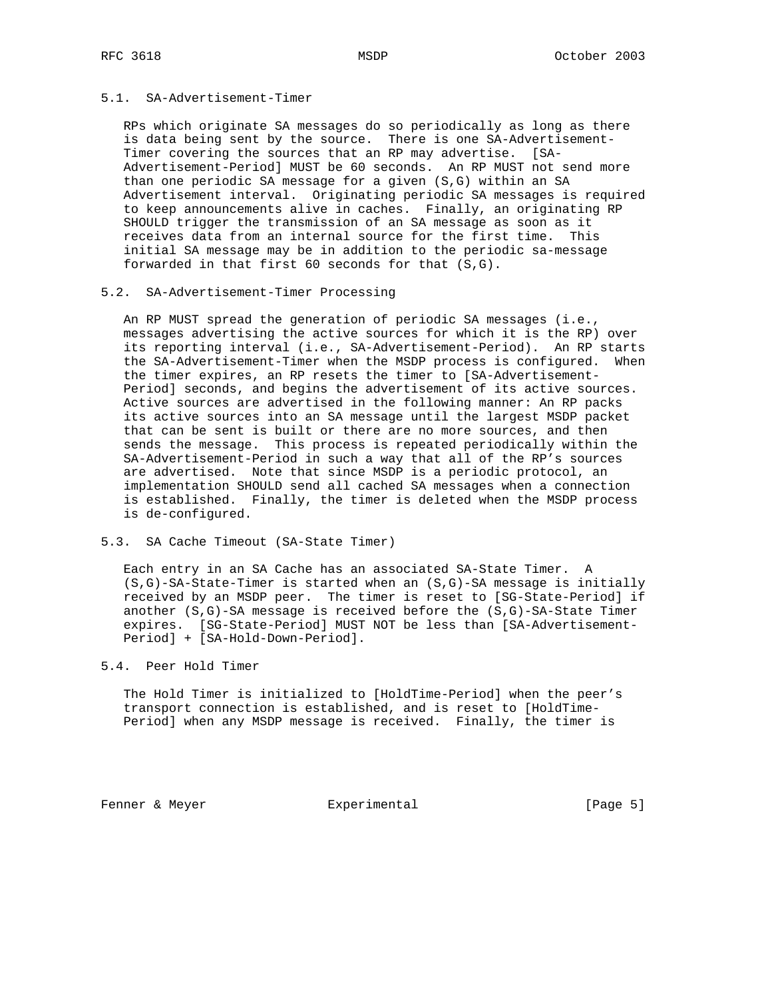# 5.1. SA-Advertisement-Timer

 RPs which originate SA messages do so periodically as long as there is data being sent by the source. There is one SA-Advertisement- Timer covering the sources that an RP may advertise. [SA- Advertisement-Period] MUST be 60 seconds. An RP MUST not send more than one periodic SA message for a given (S,G) within an SA Advertisement interval. Originating periodic SA messages is required to keep announcements alive in caches. Finally, an originating RP SHOULD trigger the transmission of an SA message as soon as it receives data from an internal source for the first time. This initial SA message may be in addition to the periodic sa-message forwarded in that first 60 seconds for that (S,G).

## 5.2. SA-Advertisement-Timer Processing

 An RP MUST spread the generation of periodic SA messages (i.e., messages advertising the active sources for which it is the RP) over its reporting interval (i.e., SA-Advertisement-Period). An RP starts the SA-Advertisement-Timer when the MSDP process is configured. When the timer expires, an RP resets the timer to [SA-Advertisement- Period] seconds, and begins the advertisement of its active sources. Active sources are advertised in the following manner: An RP packs its active sources into an SA message until the largest MSDP packet that can be sent is built or there are no more sources, and then sends the message. This process is repeated periodically within the SA-Advertisement-Period in such a way that all of the RP's sources are advertised. Note that since MSDP is a periodic protocol, an implementation SHOULD send all cached SA messages when a connection is established. Finally, the timer is deleted when the MSDP process is de-configured.

### 5.3. SA Cache Timeout (SA-State Timer)

 Each entry in an SA Cache has an associated SA-State Timer. A (S,G)-SA-State-Timer is started when an (S,G)-SA message is initially received by an MSDP peer. The timer is reset to [SG-State-Period] if another (S,G)-SA message is received before the (S,G)-SA-State Timer expires. [SG-State-Period] MUST NOT be less than [SA-Advertisement- Period] + [SA-Hold-Down-Period].

# 5.4. Peer Hold Timer

 The Hold Timer is initialized to [HoldTime-Period] when the peer's transport connection is established, and is reset to [HoldTime- Period] when any MSDP message is received. Finally, the timer is

Fenner & Meyer **Experimental** Experimental [Page 5]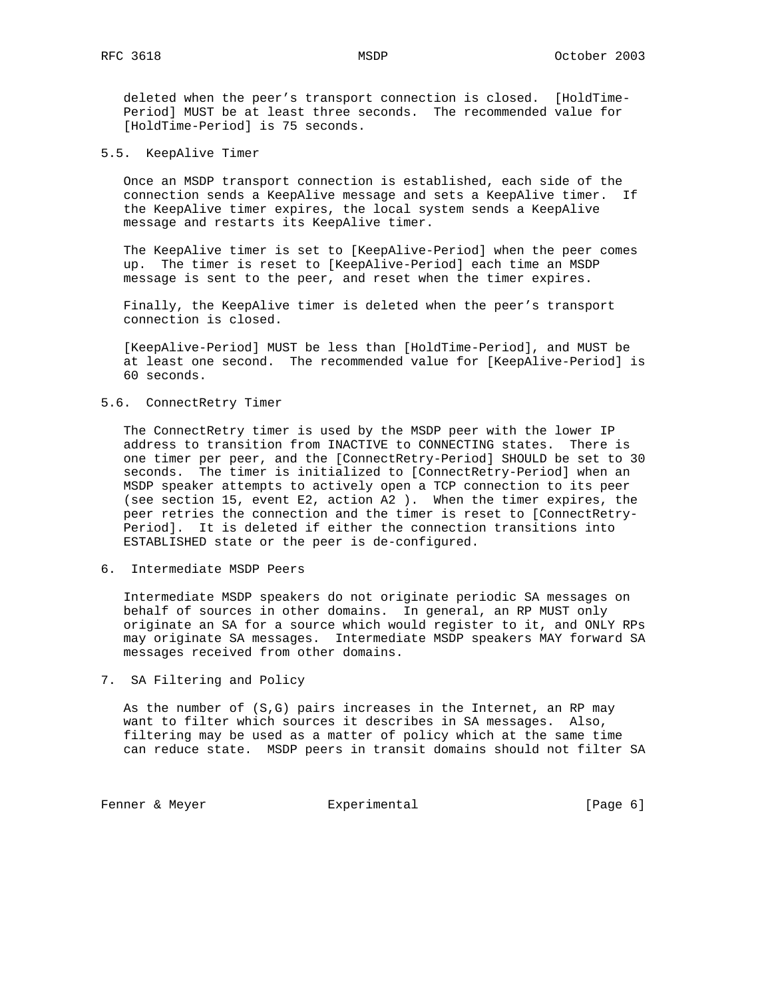deleted when the peer's transport connection is closed. [HoldTime- Period] MUST be at least three seconds. The recommended value for [HoldTime-Period] is 75 seconds.

5.5. KeepAlive Timer

 Once an MSDP transport connection is established, each side of the connection sends a KeepAlive message and sets a KeepAlive timer. If the KeepAlive timer expires, the local system sends a KeepAlive message and restarts its KeepAlive timer.

 The KeepAlive timer is set to [KeepAlive-Period] when the peer comes up. The timer is reset to [KeepAlive-Period] each time an MSDP message is sent to the peer, and reset when the timer expires.

 Finally, the KeepAlive timer is deleted when the peer's transport connection is closed.

 [KeepAlive-Period] MUST be less than [HoldTime-Period], and MUST be at least one second. The recommended value for [KeepAlive-Period] is 60 seconds.

## 5.6. ConnectRetry Timer

 The ConnectRetry timer is used by the MSDP peer with the lower IP address to transition from INACTIVE to CONNECTING states. There is one timer per peer, and the [ConnectRetry-Period] SHOULD be set to 30 seconds. The timer is initialized to [ConnectRetry-Period] when an MSDP speaker attempts to actively open a TCP connection to its peer (see section 15, event E2, action A2 ). When the timer expires, the peer retries the connection and the timer is reset to [ConnectRetry- Period]. It is deleted if either the connection transitions into ESTABLISHED state or the peer is de-configured.

6. Intermediate MSDP Peers

 Intermediate MSDP speakers do not originate periodic SA messages on behalf of sources in other domains. In general, an RP MUST only originate an SA for a source which would register to it, and ONLY RPs may originate SA messages. Intermediate MSDP speakers MAY forward SA messages received from other domains.

7. SA Filtering and Policy

 As the number of (S,G) pairs increases in the Internet, an RP may want to filter which sources it describes in SA messages. Also, filtering may be used as a matter of policy which at the same time can reduce state. MSDP peers in transit domains should not filter SA

Fenner & Meyer **Experimental** Experimental [Page 6]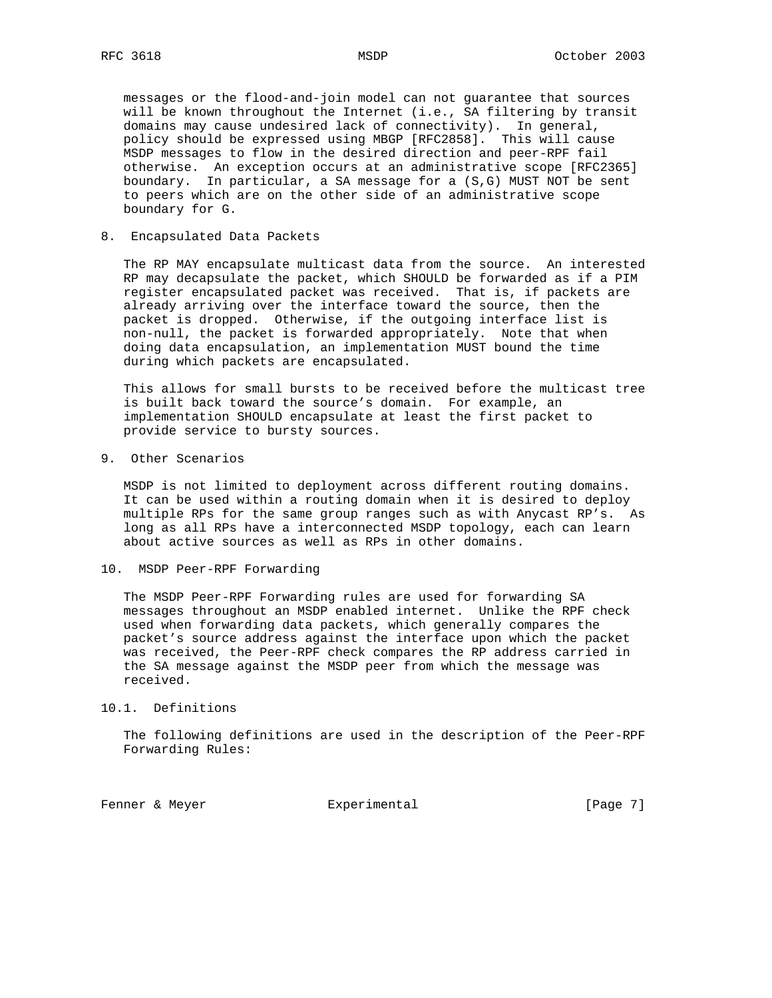messages or the flood-and-join model can not guarantee that sources will be known throughout the Internet (i.e., SA filtering by transit domains may cause undesired lack of connectivity). In general, policy should be expressed using MBGP [RFC2858]. This will cause MSDP messages to flow in the desired direction and peer-RPF fail otherwise. An exception occurs at an administrative scope [RFC2365] boundary. In particular, a SA message for a (S,G) MUST NOT be sent to peers which are on the other side of an administrative scope boundary for G.

8. Encapsulated Data Packets

 The RP MAY encapsulate multicast data from the source. An interested RP may decapsulate the packet, which SHOULD be forwarded as if a PIM register encapsulated packet was received. That is, if packets are already arriving over the interface toward the source, then the packet is dropped. Otherwise, if the outgoing interface list is non-null, the packet is forwarded appropriately. Note that when doing data encapsulation, an implementation MUST bound the time during which packets are encapsulated.

 This allows for small bursts to be received before the multicast tree is built back toward the source's domain. For example, an implementation SHOULD encapsulate at least the first packet to provide service to bursty sources.

9. Other Scenarios

 MSDP is not limited to deployment across different routing domains. It can be used within a routing domain when it is desired to deploy multiple RPs for the same group ranges such as with Anycast RP's. As long as all RPs have a interconnected MSDP topology, each can learn about active sources as well as RPs in other domains.

10. MSDP Peer-RPF Forwarding

 The MSDP Peer-RPF Forwarding rules are used for forwarding SA messages throughout an MSDP enabled internet. Unlike the RPF check used when forwarding data packets, which generally compares the packet's source address against the interface upon which the packet was received, the Peer-RPF check compares the RP address carried in the SA message against the MSDP peer from which the message was received.

## 10.1. Definitions

 The following definitions are used in the description of the Peer-RPF Forwarding Rules:

Fenner & Meyer **Experimental** Experimental [Page 7]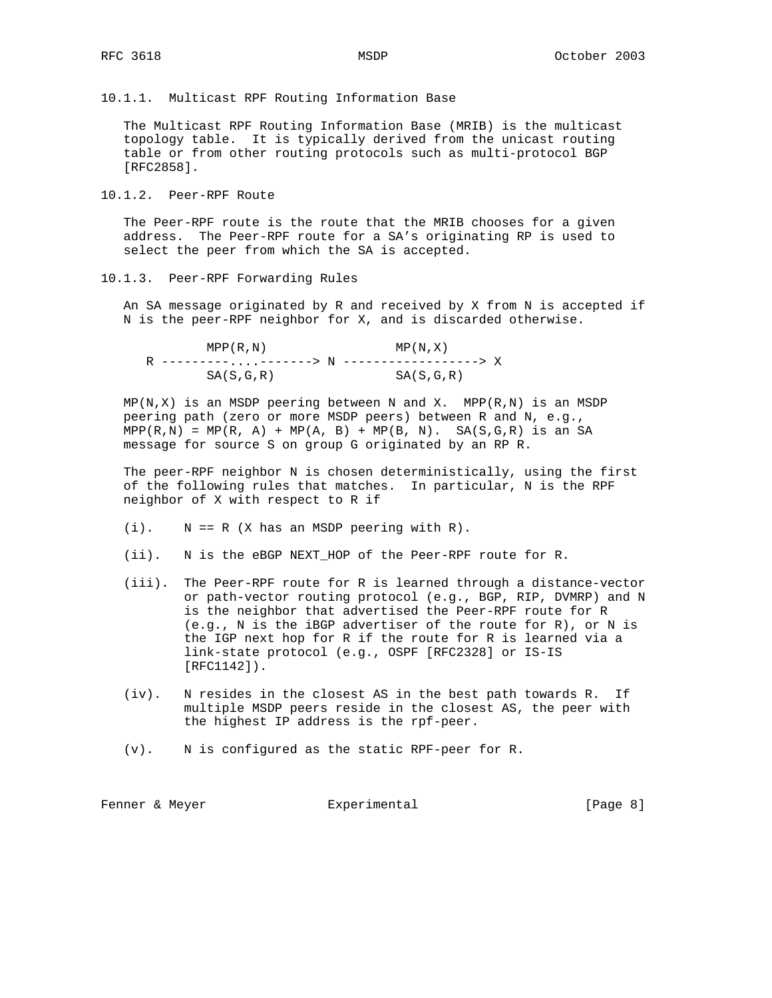10.1.1. Multicast RPF Routing Information Base

 The Multicast RPF Routing Information Base (MRIB) is the multicast topology table. It is typically derived from the unicast routing table or from other routing protocols such as multi-protocol BGP [RFC2858].

10.1.2. Peer-RPF Route

 The Peer-RPF route is the route that the MRIB chooses for a given address. The Peer-RPF route for a SA's originating RP is used to select the peer from which the SA is accepted.

10.1.3. Peer-RPF Forwarding Rules

 An SA message originated by R and received by X from N is accepted if N is the peer-RPF neighbor for X, and is discarded otherwise.

| MPP(R,N)    | MP(N, X)    |  |
|-------------|-------------|--|
|             |             |  |
| SA(S, G, R) | SA(S, G, R) |  |

 $MP(N,X)$  is an MSDP peering between N and X. MPP( $R,N$ ) is an MSDP peering path (zero or more MSDP peers) between R and N, e.g.,  $MPP(R,N) = MP(R, A) + MP(A, B) + MP(B, N)$ . SA(S, G, R) is an SA message for source S on group G originated by an RP R.

 The peer-RPF neighbor N is chosen deterministically, using the first of the following rules that matches. In particular, N is the RPF neighbor of X with respect to R if

- $(i)$ .  $N == R$  (X has an MSDP peering with R).
- (ii). N is the eBGP NEXT\_HOP of the Peer-RPF route for R.
- (iii). The Peer-RPF route for R is learned through a distance-vector or path-vector routing protocol (e.g., BGP, RIP, DVMRP) and N is the neighbor that advertised the Peer-RPF route for R (e.g., N is the iBGP advertiser of the route for R), or N is the IGP next hop for R if the route for R is learned via a link-state protocol (e.g., OSPF [RFC2328] or IS-IS [RFC1142]).
- (iv). N resides in the closest AS in the best path towards R. If multiple MSDP peers reside in the closest AS, the peer with the highest IP address is the rpf-peer.
- (v). N is configured as the static RPF-peer for R.

| Experimental<br>Fenner & Meyer | [Page 8] |  |  |
|--------------------------------|----------|--|--|
|--------------------------------|----------|--|--|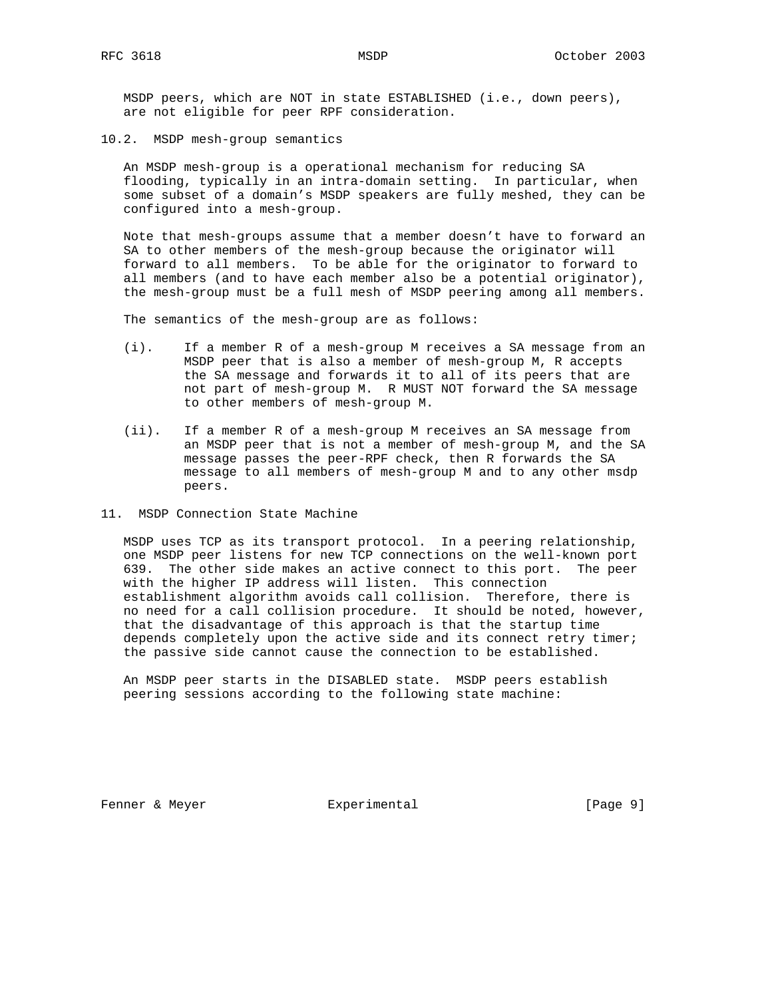MSDP peers, which are NOT in state ESTABLISHED (i.e., down peers), are not eligible for peer RPF consideration.

10.2. MSDP mesh-group semantics

 An MSDP mesh-group is a operational mechanism for reducing SA flooding, typically in an intra-domain setting. In particular, when some subset of a domain's MSDP speakers are fully meshed, they can be configured into a mesh-group.

 Note that mesh-groups assume that a member doesn't have to forward an SA to other members of the mesh-group because the originator will forward to all members. To be able for the originator to forward to all members (and to have each member also be a potential originator), the mesh-group must be a full mesh of MSDP peering among all members.

The semantics of the mesh-group are as follows:

- (i). If a member R of a mesh-group M receives a SA message from an MSDP peer that is also a member of mesh-group M, R accepts the SA message and forwards it to all of its peers that are not part of mesh-group M. R MUST NOT forward the SA message to other members of mesh-group M.
- (ii). If a member R of a mesh-group M receives an SA message from an MSDP peer that is not a member of mesh-group M, and the SA message passes the peer-RPF check, then R forwards the SA message to all members of mesh-group M and to any other msdp peers.
- 11. MSDP Connection State Machine

 MSDP uses TCP as its transport protocol. In a peering relationship, one MSDP peer listens for new TCP connections on the well-known port 639. The other side makes an active connect to this port. The peer with the higher IP address will listen. This connection establishment algorithm avoids call collision. Therefore, there is no need for a call collision procedure. It should be noted, however, that the disadvantage of this approach is that the startup time depends completely upon the active side and its connect retry timer; the passive side cannot cause the connection to be established.

 An MSDP peer starts in the DISABLED state. MSDP peers establish peering sessions according to the following state machine:

Fenner & Meyer **Experimental** Experimental [Page 9]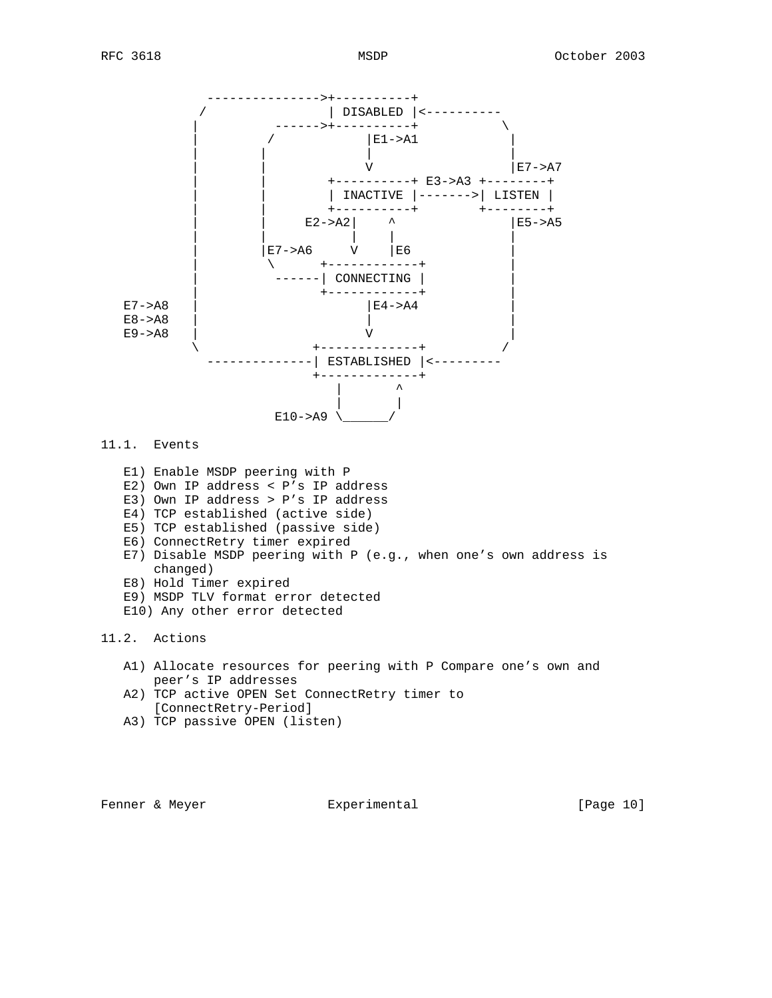

# 11.1. Events

- E1) Enable MSDP peering with P
- E2) Own IP address < P's IP address
- E3) Own IP address > P's IP address
- E4) TCP established (active side)
- E5) TCP established (passive side)
- E6) ConnectRetry timer expired
- E7) Disable MSDP peering with P (e.g., when one's own address is changed)
- E8) Hold Timer expired
- E9) MSDP TLV format error detected
- E10) Any other error detected

# 11.2. Actions

- A1) Allocate resources for peering with P Compare one's own and peer's IP addresses
- A2) TCP active OPEN Set ConnectRetry timer to [ConnectRetry-Period]
- A3) TCP passive OPEN (listen)

Fenner & Meyer **Experimental** [Page 10]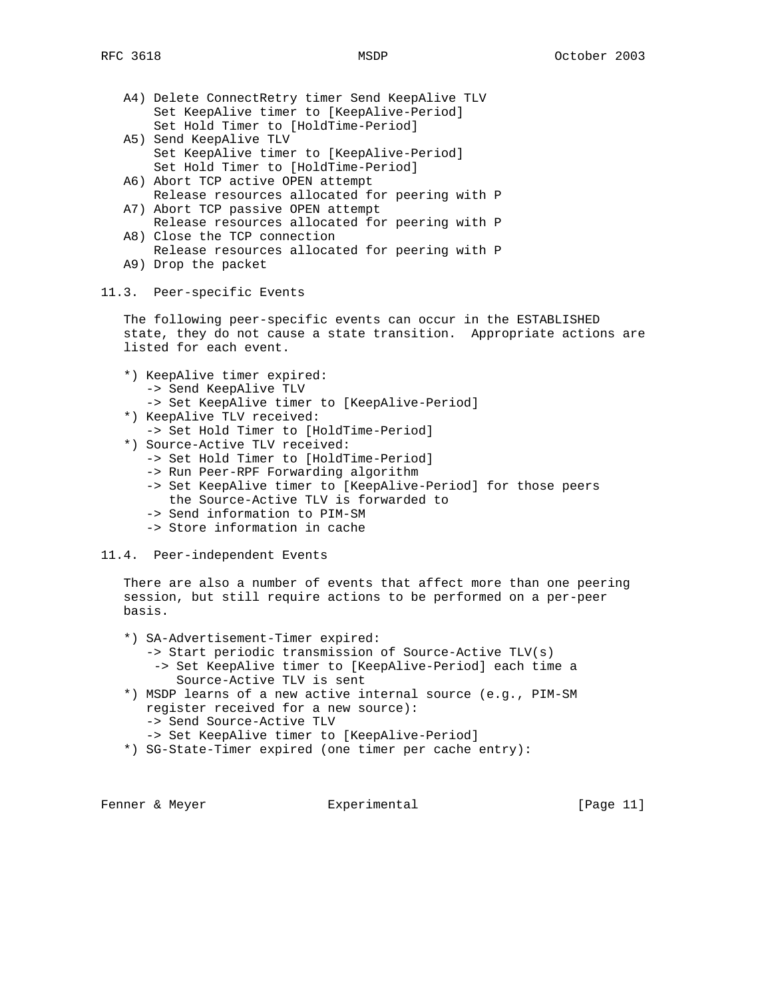- A4) Delete ConnectRetry timer Send KeepAlive TLV Set KeepAlive timer to [KeepAlive-Period] Set Hold Timer to [HoldTime-Period]
- A5) Send KeepAlive TLV Set KeepAlive timer to [KeepAlive-Period] Set Hold Timer to [HoldTime-Period]
- A6) Abort TCP active OPEN attempt Release resources allocated for peering with P
- A7) Abort TCP passive OPEN attempt Release resources allocated for peering with P
- A8) Close the TCP connection Release resources allocated for peering with P
- A9) Drop the packet

### 11.3. Peer-specific Events

 The following peer-specific events can occur in the ESTABLISHED state, they do not cause a state transition. Appropriate actions are listed for each event.

- \*) KeepAlive timer expired:
	- -> Send KeepAlive TLV
	- -> Set KeepAlive timer to [KeepAlive-Period]
- \*) KeepAlive TLV received: -> Set Hold Timer to [HoldTime-Period]
- \*) Source-Active TLV received:
	- -> Set Hold Timer to [HoldTime-Period]
	- -> Run Peer-RPF Forwarding algorithm
	- -> Set KeepAlive timer to [KeepAlive-Period] for those peers the Source-Active TLV is forwarded to
	- -> Send information to PIM-SM
	- -> Store information in cache
- 11.4. Peer-independent Events

 There are also a number of events that affect more than one peering session, but still require actions to be performed on a per-peer basis.

- \*) SA-Advertisement-Timer expired:
	- -> Start periodic transmission of Source-Active TLV(s) -> Set KeepAlive timer to [KeepAlive-Period] each time a Source-Active TLV is sent
- \*) MSDP learns of a new active internal source (e.g., PIM-SM register received for a new source): -> Send Source-Active TLV
	- -> Set KeepAlive timer to [KeepAlive-Period]
- \*) SG-State-Timer expired (one timer per cache entry):

Fenner & Meyer  $\qquad \qquad$  Experimental  $\qquad \qquad$  [Page 11]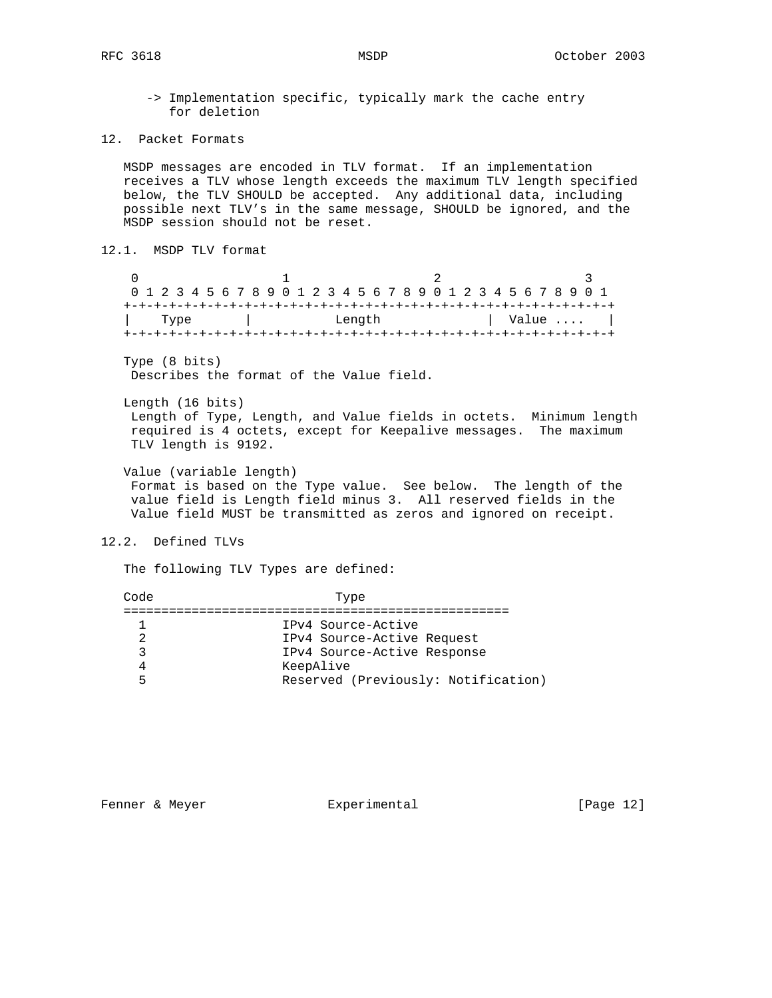- -> Implementation specific, typically mark the cache entry for deletion
- 12. Packet Formats

 MSDP messages are encoded in TLV format. If an implementation receives a TLV whose length exceeds the maximum TLV length specified below, the TLV SHOULD be accepted. Any additional data, including possible next TLV's in the same message, SHOULD be ignored, and the MSDP session should not be reset.

```
12.1. MSDP TLV format
```

| 0 1 2 3 4 5 6 7 8 9 0 1 2 3 4 5 6 7 8 9 0 1 2 3 4 5 6 7 8 9 0 1 |      |  |        |  |  |  |  |  |  |  |  |  |  |  |  |  |  |  |  |  |  |                       |  |  |  |  |  |  |
|-----------------------------------------------------------------|------|--|--------|--|--|--|--|--|--|--|--|--|--|--|--|--|--|--|--|--|--|-----------------------|--|--|--|--|--|--|
|                                                                 |      |  |        |  |  |  |  |  |  |  |  |  |  |  |  |  |  |  |  |  |  |                       |  |  |  |  |  |  |
|                                                                 | Type |  | Length |  |  |  |  |  |  |  |  |  |  |  |  |  |  |  |  |  |  | $\vert$ Value $\vert$ |  |  |  |  |  |  |
|                                                                 |      |  |        |  |  |  |  |  |  |  |  |  |  |  |  |  |  |  |  |  |  |                       |  |  |  |  |  |  |

 Type (8 bits) Describes the format of the Value field.

 Length (16 bits) Length of Type, Length, and Value fields in octets. Minimum length required is 4 octets, except for Keepalive messages. The maximum TLV length is 9192.

 Value (variable length) Format is based on the Type value. See below. The length of the value field is Length field minus 3. All reserved fields in the Value field MUST be transmitted as zeros and ignored on receipt.

12.2. Defined TLVs

The following TLV Types are defined:

| Reserved (Previously: Notification) |
|-------------------------------------|
|                                     |

Fenner & Meyer  $\qquad \qquad$  Experimental [Page 12]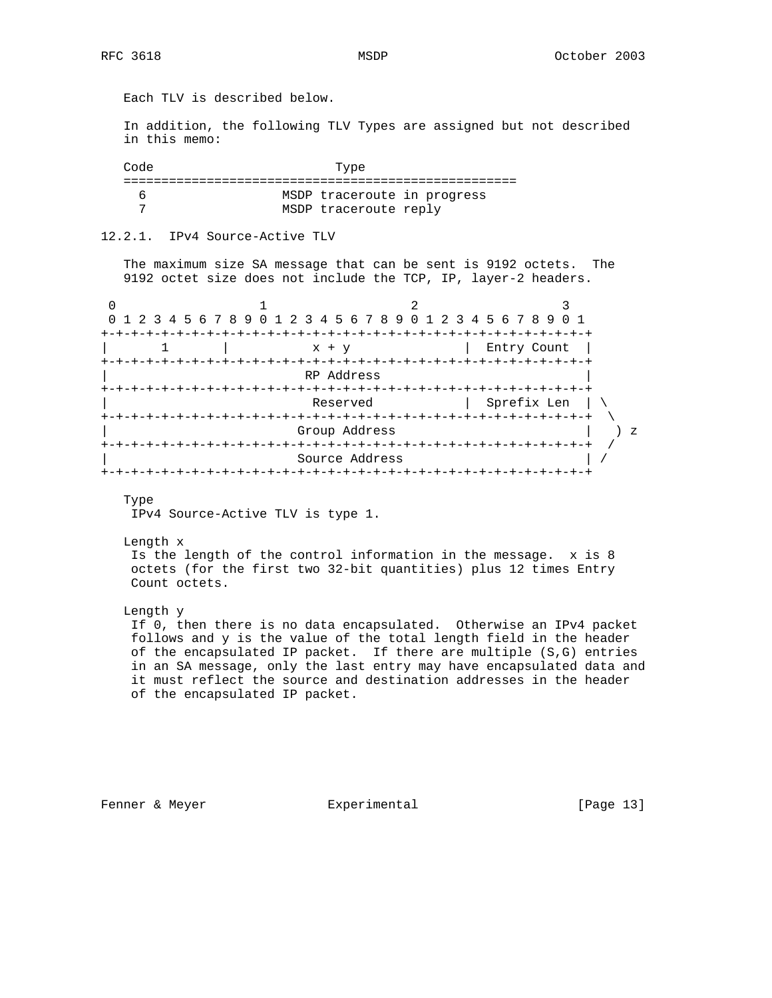Each TLV is described below. In addition, the following TLV Types are assigned but not described in this memo: Code Type ==================================================== 6 MSDP traceroute in progress 7 MSDP traceroute reply 12.2.1. IPv4 Source-Active TLV The maximum size SA message that can be sent is 9192 octets. The 9192 octet size does not include the TCP, IP, layer-2 headers. 0  $1$  2 3 0 1 2 3 4 5 6 7 8 9 0 1 2 3 4 5 6 7 8 9 0 1 2 3 4 5 6 7 8 9 0 1 +-+-+-+-+-+-+-+-+-+-+-+-+-+-+-+-+-+-+-+-+-+-+-+-+-+-+-+-+-+-+-+-+ | 1 | x + y | Entry Count | +-+-+-+-+-+-+-+-+-+-+-+-+-+-+-+-+-+-+-+-+-+-+-+-+-+-+-+-+-+-+-+-+ | RP Address | +-+-+-+-+-+-+-+-+-+-+-+-+-+-+-+-+-+-+-+-+-+-+-+-+-+-+-+-+-+-+-+-+ Reserved | Sprefix Len | \ +-+-+-+-+-+-+-+-+-+-+-+-+-+-+-+-+-+-+-+-+-+-+-+-+-+-+-+-+-+-+-+-+ \ Group Address +-+-+-+-+-+-+-+-+-+-+-+-+-+-+-+-+-+-+-+-+-+-+-+-+-+-+-+-+-+-+-+-+ / | Source Address | / +-+-+-+-+-+-+-+-+-+-+-+-+-+-+-+-+-+-+-+-+-+-+-+-+-+-+-+-+-+-+-+-+ Type IPv4 Source-Active TLV is type 1. Length x Is the length of the control information in the message. x is 8 octets (for the first two 32-bit quantities) plus 12 times Entry Count octets. Length y If 0, then there is no data encapsulated. Otherwise an IPv4 packet follows and y is the value of the total length field in the header of the encapsulated IP packet. If there are multiple (S,G) entries in an SA message, only the last entry may have encapsulated data and it must reflect the source and destination addresses in the header of the encapsulated IP packet.

Fenner & Meyer **Experimental** [Page 13]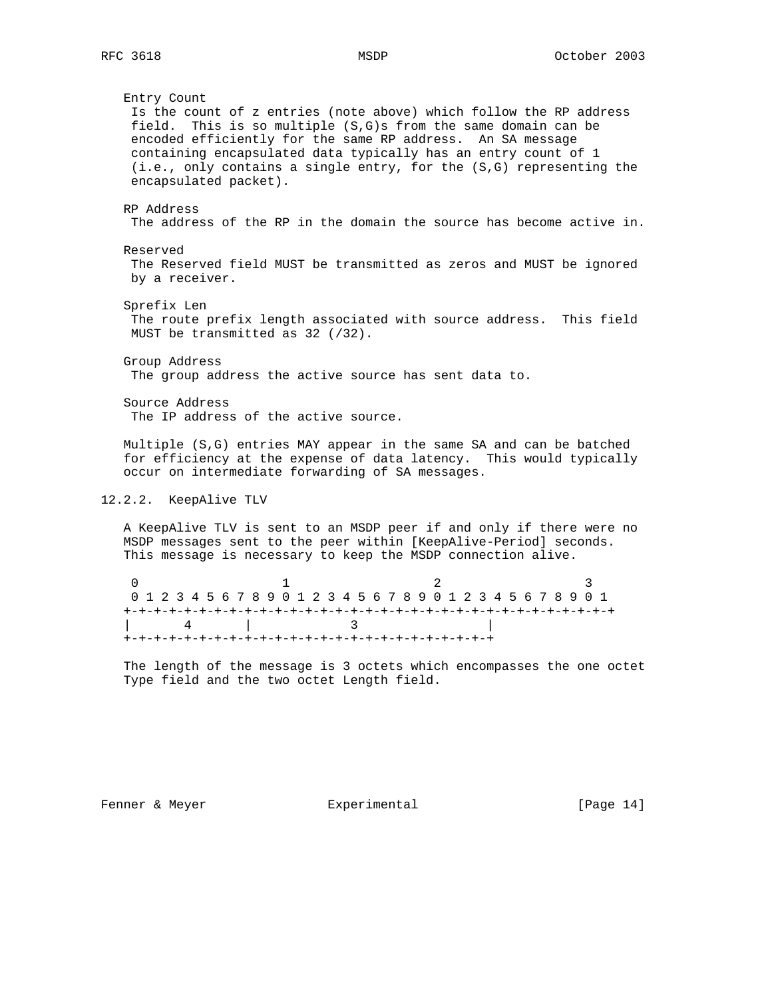Entry Count Is the count of z entries (note above) which follow the RP address field. This is so multiple (S,G)s from the same domain can be encoded efficiently for the same RP address. An SA message containing encapsulated data typically has an entry count of 1 (i.e., only contains a single entry, for the (S,G) representing the encapsulated packet). RP Address The address of the RP in the domain the source has become active in. Reserved The Reserved field MUST be transmitted as zeros and MUST be ignored by a receiver. Sprefix Len The route prefix length associated with source address. This field MUST be transmitted as 32 (/32). Group Address The group address the active source has sent data to. Source Address The IP address of the active source. Multiple (S,G) entries MAY appear in the same SA and can be batched for efficiency at the expense of data latency. This would typically occur on intermediate forwarding of SA messages. 12.2.2. KeepAlive TLV A KeepAlive TLV is sent to an MSDP peer if and only if there were no MSDP messages sent to the peer within [KeepAlive-Period] seconds. This message is necessary to keep the MSDP connection alive.

| 0 1 2 3 4 5 6 7 8 9 0 1 2 3 4 5 6 7 8 9 0 1 2 3 4 5 6 7 8 9 0 1 |  |             |  |  |  |  |  |  |  |  |  |  |  |  |  |  |  |  |  |  |  |  |  |  |
|-----------------------------------------------------------------|--|-------------|--|--|--|--|--|--|--|--|--|--|--|--|--|--|--|--|--|--|--|--|--|--|
|                                                                 |  |             |  |  |  |  |  |  |  |  |  |  |  |  |  |  |  |  |  |  |  |  |  |  |
|                                                                 |  | $4$ and $1$ |  |  |  |  |  |  |  |  |  |  |  |  |  |  |  |  |  |  |  |  |  |  |
|                                                                 |  |             |  |  |  |  |  |  |  |  |  |  |  |  |  |  |  |  |  |  |  |  |  |  |

 The length of the message is 3 octets which encompasses the one octet Type field and the two octet Length field.

Fenner & Meyer **Experimental** Experimental [Page 14]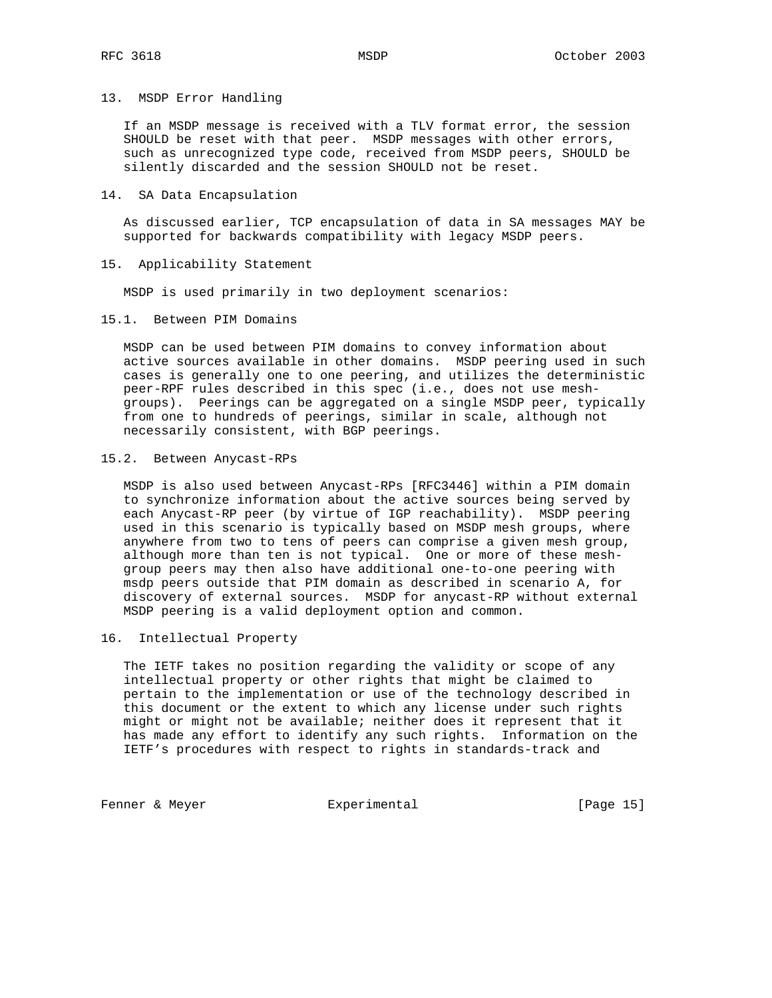## 13. MSDP Error Handling

 If an MSDP message is received with a TLV format error, the session SHOULD be reset with that peer. MSDP messages with other errors, such as unrecognized type code, received from MSDP peers, SHOULD be silently discarded and the session SHOULD not be reset.

## 14. SA Data Encapsulation

 As discussed earlier, TCP encapsulation of data in SA messages MAY be supported for backwards compatibility with legacy MSDP peers.

## 15. Applicability Statement

MSDP is used primarily in two deployment scenarios:

15.1. Between PIM Domains

 MSDP can be used between PIM domains to convey information about active sources available in other domains. MSDP peering used in such cases is generally one to one peering, and utilizes the deterministic peer-RPF rules described in this spec (i.e., does not use mesh groups). Peerings can be aggregated on a single MSDP peer, typically from one to hundreds of peerings, similar in scale, although not necessarily consistent, with BGP peerings.

# 15.2. Between Anycast-RPs

 MSDP is also used between Anycast-RPs [RFC3446] within a PIM domain to synchronize information about the active sources being served by each Anycast-RP peer (by virtue of IGP reachability). MSDP peering used in this scenario is typically based on MSDP mesh groups, where anywhere from two to tens of peers can comprise a given mesh group, although more than ten is not typical. One or more of these mesh group peers may then also have additional one-to-one peering with msdp peers outside that PIM domain as described in scenario A, for discovery of external sources. MSDP for anycast-RP without external MSDP peering is a valid deployment option and common.

# 16. Intellectual Property

 The IETF takes no position regarding the validity or scope of any intellectual property or other rights that might be claimed to pertain to the implementation or use of the technology described in this document or the extent to which any license under such rights might or might not be available; neither does it represent that it has made any effort to identify any such rights. Information on the IETF's procedures with respect to rights in standards-track and

Fenner & Meyer **Experimental** [Page 15]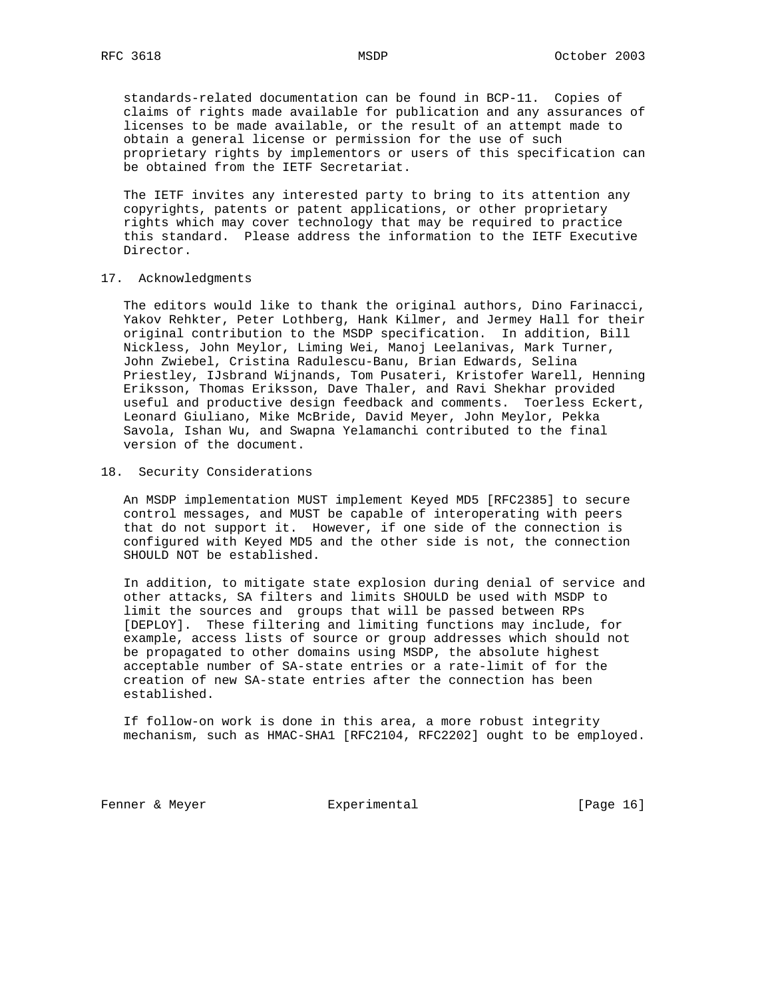standards-related documentation can be found in BCP-11. Copies of claims of rights made available for publication and any assurances of licenses to be made available, or the result of an attempt made to obtain a general license or permission for the use of such proprietary rights by implementors or users of this specification can be obtained from the IETF Secretariat.

 The IETF invites any interested party to bring to its attention any copyrights, patents or patent applications, or other proprietary rights which may cover technology that may be required to practice this standard. Please address the information to the IETF Executive Director.

## 17. Acknowledgments

 The editors would like to thank the original authors, Dino Farinacci, Yakov Rehkter, Peter Lothberg, Hank Kilmer, and Jermey Hall for their original contribution to the MSDP specification. In addition, Bill Nickless, John Meylor, Liming Wei, Manoj Leelanivas, Mark Turner, John Zwiebel, Cristina Radulescu-Banu, Brian Edwards, Selina Priestley, IJsbrand Wijnands, Tom Pusateri, Kristofer Warell, Henning Eriksson, Thomas Eriksson, Dave Thaler, and Ravi Shekhar provided useful and productive design feedback and comments. Toerless Eckert, Leonard Giuliano, Mike McBride, David Meyer, John Meylor, Pekka Savola, Ishan Wu, and Swapna Yelamanchi contributed to the final version of the document.

## 18. Security Considerations

 An MSDP implementation MUST implement Keyed MD5 [RFC2385] to secure control messages, and MUST be capable of interoperating with peers that do not support it. However, if one side of the connection is configured with Keyed MD5 and the other side is not, the connection SHOULD NOT be established.

 In addition, to mitigate state explosion during denial of service and other attacks, SA filters and limits SHOULD be used with MSDP to limit the sources and groups that will be passed between RPs [DEPLOY]. These filtering and limiting functions may include, for example, access lists of source or group addresses which should not be propagated to other domains using MSDP, the absolute highest acceptable number of SA-state entries or a rate-limit of for the creation of new SA-state entries after the connection has been established.

 If follow-on work is done in this area, a more robust integrity mechanism, such as HMAC-SHA1 [RFC2104, RFC2202] ought to be employed.

Fenner & Meyer **Experimental** [Page 16]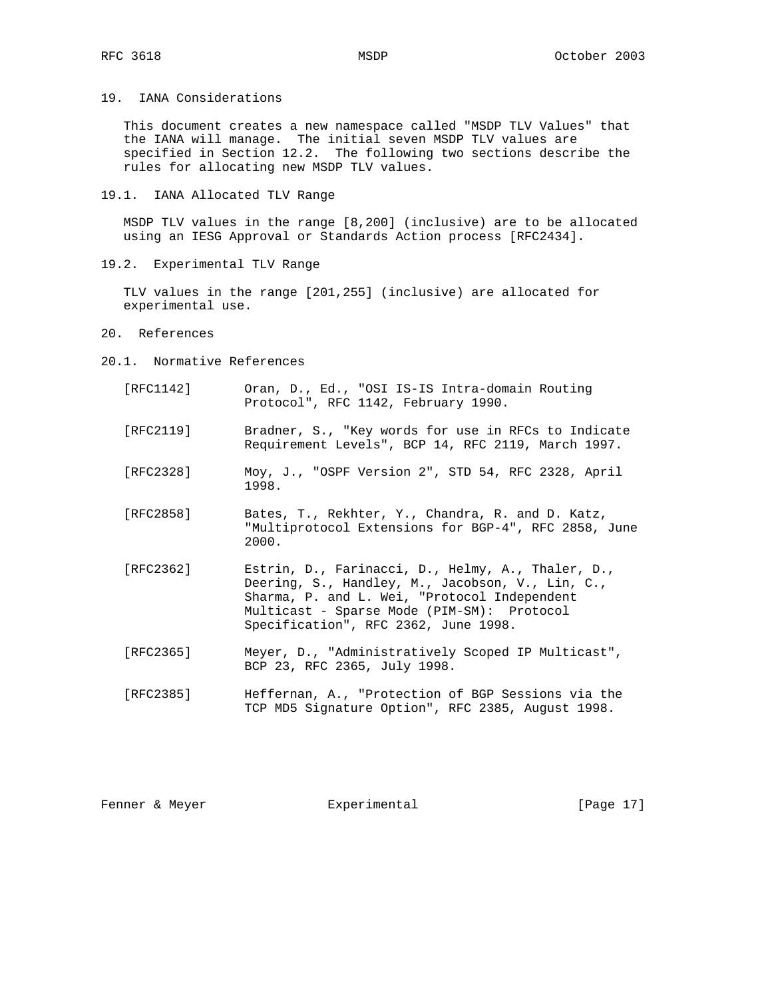19. IANA Considerations

 This document creates a new namespace called "MSDP TLV Values" that the IANA will manage. The initial seven MSDP TLV values are specified in Section 12.2. The following two sections describe the rules for allocating new MSDP TLV values.

19.1. IANA Allocated TLV Range

 MSDP TLV values in the range [8,200] (inclusive) are to be allocated using an IESG Approval or Standards Action process [RFC2434].

19.2. Experimental TLV Range

 TLV values in the range [201,255] (inclusive) are allocated for experimental use.

- 20. References
- 20.1. Normative References
	- [RFC1142] Oran, D., Ed., "OSI IS-IS Intra-domain Routing Protocol", RFC 1142, February 1990.
	- [RFC2119] Bradner, S., "Key words for use in RFCs to Indicate Requirement Levels", BCP 14, RFC 2119, March 1997.
	- [RFC2328] Moy, J., "OSPF Version 2", STD 54, RFC 2328, April 1998.
	- [RFC2858] Bates, T., Rekhter, Y., Chandra, R. and D. Katz, "Multiprotocol Extensions for BGP-4", RFC 2858, June 2000.
	- [RFC2362] Estrin, D., Farinacci, D., Helmy, A., Thaler, D., Deering, S., Handley, M., Jacobson, V., Lin, C., Sharma, P. and L. Wei, "Protocol Independent Multicast - Sparse Mode (PIM-SM): Protocol Specification", RFC 2362, June 1998.
	- [RFC2365] Meyer, D., "Administratively Scoped IP Multicast", BCP 23, RFC 2365, July 1998.
	- [RFC2385] Heffernan, A., "Protection of BGP Sessions via the TCP MD5 Signature Option", RFC 2385, August 1998.

Fenner & Meyer  $\text{Experimental}$  [Page 17]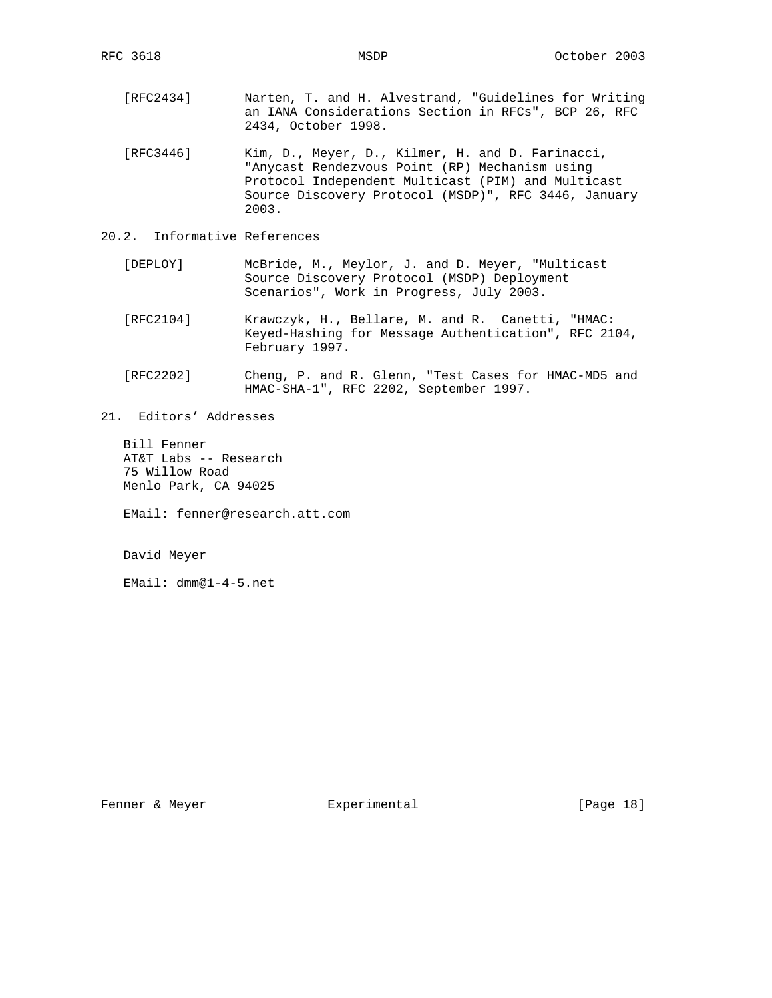- [RFC2434] Narten, T. and H. Alvestrand, "Guidelines for Writing an IANA Considerations Section in RFCs", BCP 26, RFC 2434, October 1998.
- [RFC3446] Kim, D., Meyer, D., Kilmer, H. and D. Farinacci, "Anycast Rendezvous Point (RP) Mechanism using Protocol Independent Multicast (PIM) and Multicast Source Discovery Protocol (MSDP)", RFC 3446, January 2003.
- 20.2. Informative References
	- [DEPLOY] McBride, M., Meylor, J. and D. Meyer, "Multicast Source Discovery Protocol (MSDP) Deployment Scenarios", Work in Progress, July 2003.
	- [RFC2104] Krawczyk, H., Bellare, M. and R. Canetti, "HMAC: Keyed-Hashing for Message Authentication", RFC 2104, February 1997.
	- [RFC2202] Cheng, P. and R. Glenn, "Test Cases for HMAC-MD5 and HMAC-SHA-1", RFC 2202, September 1997.
- 21. Editors' Addresses

 Bill Fenner AT&T Labs -- Research 75 Willow Road Menlo Park, CA 94025

EMail: fenner@research.att.com

David Meyer

EMail: dmm@1-4-5.net